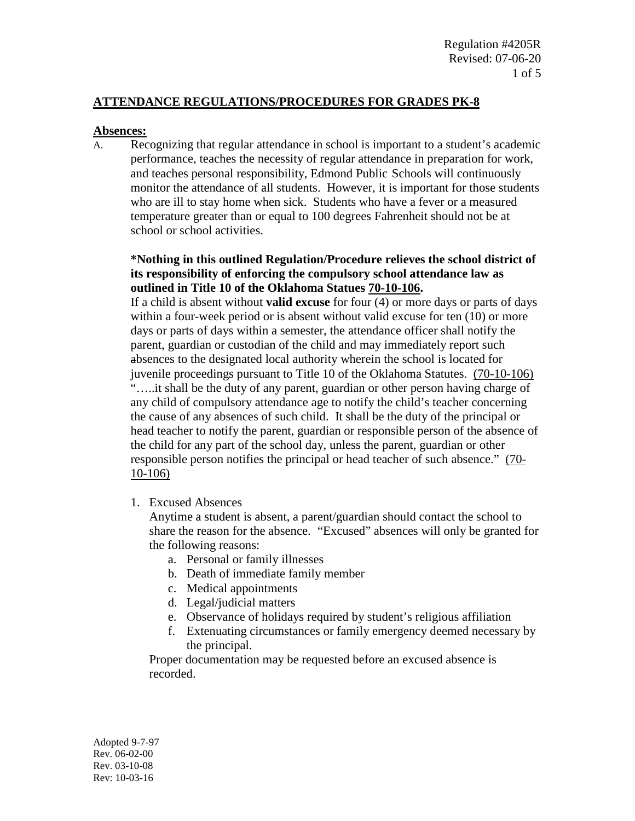## **ATTENDANCE REGULATIONS/PROCEDURES FOR GRADES PK-8**

#### **Absences:**

A. Recognizing that regular attendance in school is important to a student's academic performance, teaches the necessity of regular attendance in preparation for work, and teaches personal responsibility, Edmond Public Schools will continuously monitor the attendance of all students. However, it is important for those students who are ill to stay home when sick. Students who have a fever or a measured temperature greater than or equal to 100 degrees Fahrenheit should not be at school or school activities.

## **\*Nothing in this outlined Regulation/Procedure relieves the school district of its responsibility of enforcing the compulsory school attendance law as outlined in Title 10 of the Oklahoma Statues 70-10-106.**

If a child is absent without **valid excuse** for four (4) or more days or parts of days within a four-week period or is absent without valid excuse for ten (10) or more days or parts of days within a semester, the attendance officer shall notify the parent, guardian or custodian of the child and may immediately report such absences to the designated local authority wherein the school is located for juvenile proceedings pursuant to Title 10 of the Oklahoma Statutes. (70-10-106) "…..it shall be the duty of any parent, guardian or other person having charge of any child of compulsory attendance age to notify the child's teacher concerning the cause of any absences of such child. It shall be the duty of the principal or head teacher to notify the parent, guardian or responsible person of the absence of the child for any part of the school day, unless the parent, guardian or other responsible person notifies the principal or head teacher of such absence." (70- 10-106)

1. Excused Absences

Anytime a student is absent, a parent/guardian should contact the school to share the reason for the absence. "Excused" absences will only be granted for the following reasons:

- a. Personal or family illnesses
- b. Death of immediate family member
- c. Medical appointments
- d. Legal/judicial matters
- e. Observance of holidays required by student's religious affiliation
- f. Extenuating circumstances or family emergency deemed necessary by the principal.

Proper documentation may be requested before an excused absence is recorded.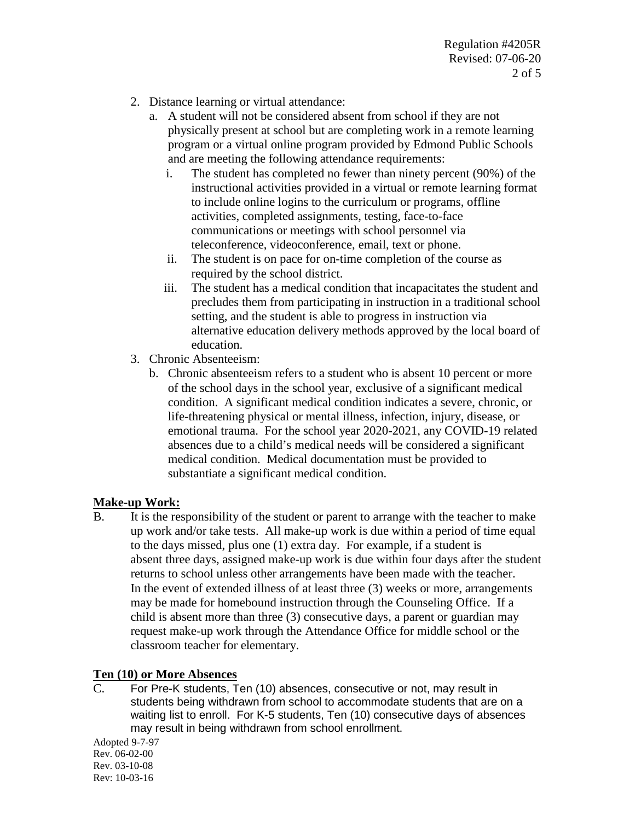- 2. Distance learning or virtual attendance:
	- a. A student will not be considered absent from school if they are not physically present at school but are completing work in a remote learning program or a virtual online program provided by Edmond Public Schools and are meeting the following attendance requirements:
		- i. The student has completed no fewer than ninety percent (90%) of the instructional activities provided in a virtual or remote learning format to include online logins to the curriculum or programs, offline activities, completed assignments, testing, face-to-face communications or meetings with school personnel via teleconference, videoconference, email, text or phone.
		- ii. The student is on pace for on-time completion of the course as required by the school district.
		- iii. The student has a medical condition that incapacitates the student and precludes them from participating in instruction in a traditional school setting, and the student is able to progress in instruction via alternative education delivery methods approved by the local board of education.
- 3. Chronic Absenteeism:
	- b. Chronic absenteeism refers to a student who is absent 10 percent or more of the school days in the school year, exclusive of a significant medical condition. A significant medical condition indicates a severe, chronic, or life-threatening physical or mental illness, infection, injury, disease, or emotional trauma. For the school year 2020-2021, any COVID-19 related absences due to a child's medical needs will be considered a significant medical condition. Medical documentation must be provided to substantiate a significant medical condition.

# **Make-up Work:**

B. It is the responsibility of the student or parent to arrange with the teacher to make up work and/or take tests. All make-up work is due within a period of time equal to the days missed, plus one (1) extra day. For example, if a student is absent three days, assigned make-up work is due within four days after the student returns to school unless other arrangements have been made with the teacher. In the event of extended illness of at least three (3) weeks or more, arrangements may be made for homebound instruction through the Counseling Office. If a child is absent more than three (3) consecutive days, a parent or guardian may request make-up work through the Attendance Office for middle school or the classroom teacher for elementary.

# **Ten (10) or More Absences**

C. For Pre-K students, Ten (10) absences, consecutive or not, may result in students being withdrawn from school to accommodate students that are on a waiting list to enroll. For K-5 students, Ten (10) consecutive days of absences may result in being withdrawn from school enrollment.

Adopted 9-7-97 Rev. 06-02-00 Rev. 03-10-08 Rev: 10-03-16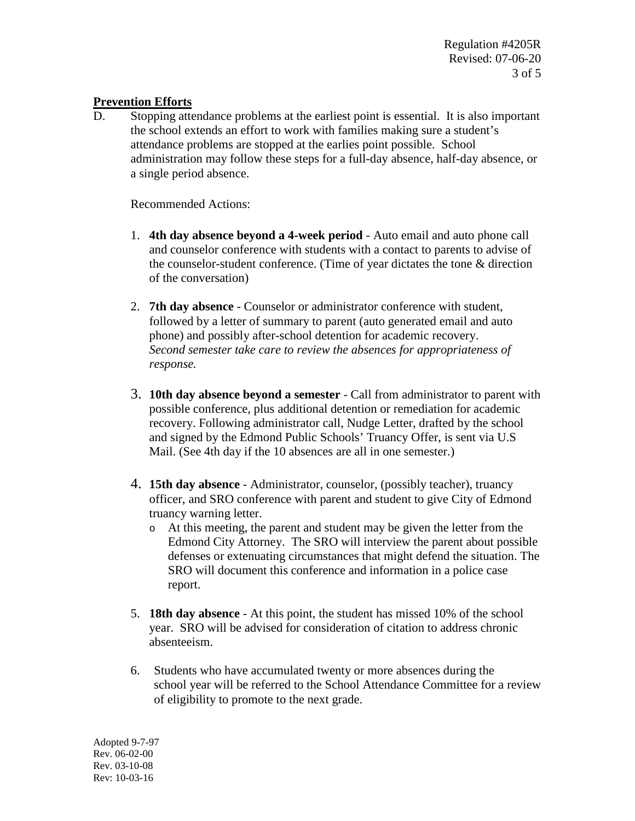Regulation #4205R Revised: 07-06-20 3 of 5

## **Prevention Efforts**

D. Stopping attendance problems at the earliest point is essential. It is also important the school extends an effort to work with families making sure a student's attendance problems are stopped at the earlies point possible. School administration may follow these steps for a full-day absence, half-day absence, or a single period absence.

Recommended Actions:

- 1. **4th day absence beyond a 4-week period**  Auto email and auto phone call and counselor conference with students with a contact to parents to advise of the counselor-student conference. (Time of year dictates the tone & direction of the conversation)
- 2. **7th day absence** Counselor or administrator conference with student, followed by a letter of summary to parent (auto generated email and auto phone) and possibly after-school detention for academic recovery. *Second semester take care to review the absences for appropriateness of response.*
- 3. **10th day absence beyond a semester** Call from administrator to parent with possible conference, plus additional detention or remediation for academic recovery. Following administrator call, Nudge Letter, drafted by the school and signed by the Edmond Public Schools' Truancy Offer, is sent via U.S Mail. (See 4th day if the 10 absences are all in one semester.)
- 4. **15th day absence** Administrator, counselor, (possibly teacher), truancy officer, and SRO conference with parent and student to give City of Edmond truancy warning letter.
	- o At this meeting, the parent and student may be given the letter from the Edmond City Attorney. The SRO will interview the parent about possible defenses or extenuating circumstances that might defend the situation. The SRO will document this conference and information in a police case report.
- 5. **18th day absence** At this point, the student has missed 10% of the school year. SRO will be advised for consideration of citation to address chronic absenteeism.
- 6. Students who have accumulated twenty or more absences during the school year will be referred to the School Attendance Committee for a review of eligibility to promote to the next grade.

Adopted 9-7-97 Rev. 06-02-00 Rev. 03-10-08 Rev: 10-03-16